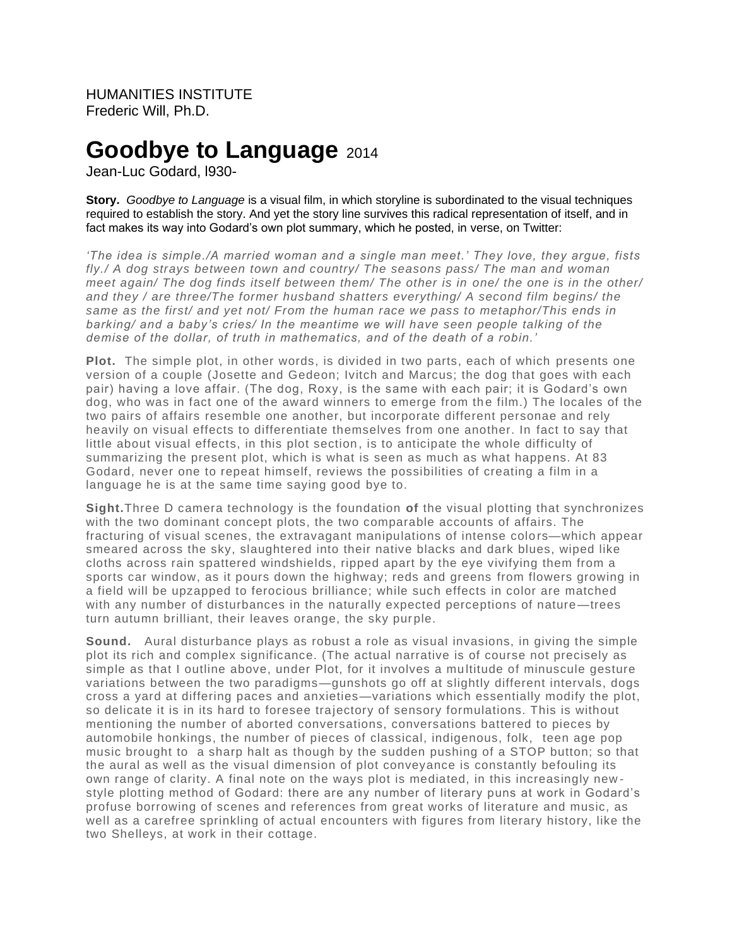HUMANITIES INSTITUTE Frederic Will, Ph.D.

# **Goodbye to Language** 2014

Jean-Luc Godard, l930-

**Story.** *Goodbye to Language* is a visual film, in which storyline is subordinated to the visual techniques required to establish the story. And yet the story line survives this radical representation of itself, and in fact makes its way into Godard's own plot summary, which he posted, in verse, on Twitter:

*'The idea is simple./A married woman and a single man meet.' They love, they argue, fists fly./ A dog strays between town and country/ The seasons pass/ The man and woman meet again/ The dog finds itself between them/ The other is in one/ the one is in the other/ and they / are three/The former husband shatters everything/ A second film begins/ the same as the first/ and yet not/ From the human race we pass to metaphor/This ends in barking/ and a baby's cries/ In the meantime we will have seen people talking of the demise of the dollar, of truth in mathematics, and of the death of a robin.'*

**Plot.** The simple plot, in other words, is divided in two parts, each of which presents one version of a couple (Josette and Gedeon; Ivitch and Marcus; the dog that goes with each pair) having a love affair. (The dog, Roxy, is the same with each pair; it is Godard's own dog, who was in fact one of the award winners to emerge from the film.) The locales of the two pairs of affairs resemble one another, but incorporate different personae and rely heavily on visual effects to differentiate themselves from one another. In fact to say that little about visual effects, in this plot section, is to anticipate the whole difficulty of summarizing the present plot, which is what is seen as much as what happens. At 83 Godard, never one to repeat himself, reviews the possibilities of creating a film in a language he is at the same time saying good bye to.

**Sight.**Three D camera technology is the foundation **of** the visual plotting that synchronizes with the two dominant concept plots, the two comparable accounts of affairs. The fracturing of visual scenes, the extravagant manipulations of intense colors—which appear smeared across the sky, slaughtered into their native blacks and dark blues, wiped like cloths across rain spattered windshields, ripped apart by the eye vivifying them from a sports car window, as it pours down the highway; reds and greens from flowers growing in a field will be upzapped to ferocious brilliance; while such effects in color are matched with any number of disturbances in the naturally expected perceptions of nature—trees turn autumn brilliant, their leaves orange, the sky purple.

**Sound.** Aural disturbance plays as robust a role as visual invasions, in giving the simple plot its rich and complex significance. (The actual narrative is of course not precisely as simple as that I outline above, under Plot, for it involves a multitude of minuscule gesture variations between the two paradigms—gunshots go off at slightly different intervals, dogs cross a yard at differing paces and anxieties—variations which essentially modify the plot, so delicate it is in its hard to foresee trajectory of sensory formulations. This is without mentioning the number of aborted conversations, conversations battered to pieces by automobile honkings, the number of pieces of classical, indigenous, folk, teen age pop music brought to a sharp halt as though by the sudden pushing of a STOP button; so that the aural as well as the visual dimension of plot conveyance is constantly befouling its own range of clarity. A final note on the ways plot is mediated, in this increasingly new style plotting method of Godard: there are any number of literary puns at work in Godard's profuse borrowing of scenes and references from great works of literature and music, as well as a carefree sprinkling of actual encounters with figures from literary history, like the two Shelleys, at work in their cottage.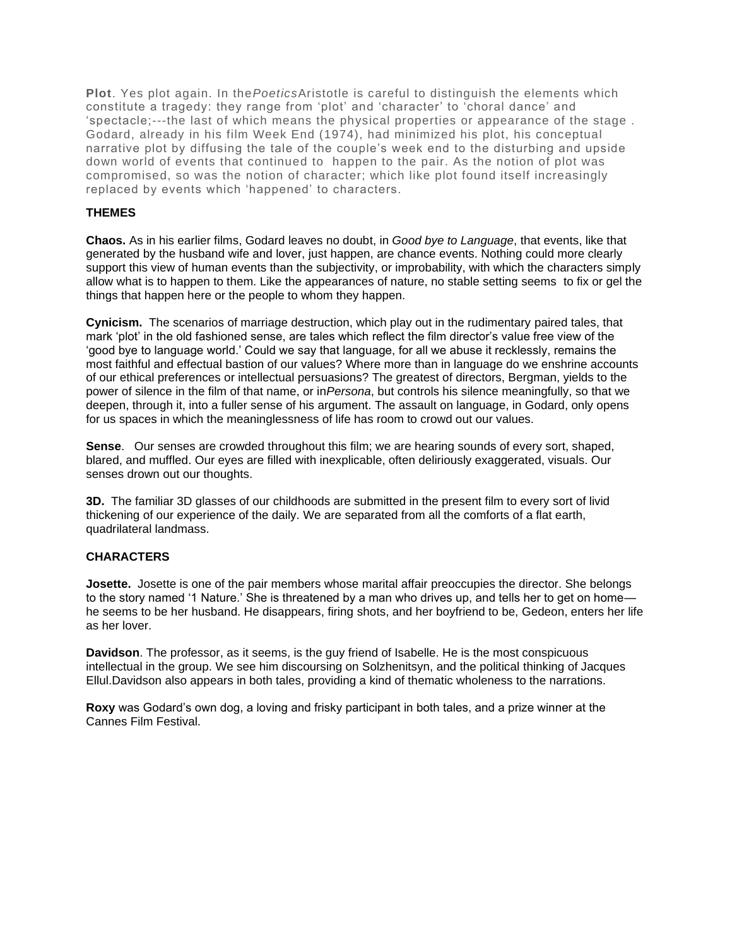**Plot**. Yes plot again. In the*Poetics*Aristotle is careful to distinguish the elements which constitute a tragedy: they range from 'plot' and 'character' to 'choral dance' and 'spectacle;---the last of which means the physical properties or appearance of the stage . Godard, already in his film Week End (1974), had minimized his plot, his conceptual narrative plot by diffusing the tale of the couple's week end to the disturbing and upside down world of events that continued to happen to the pair. As the notion of plot was compromised, so was the notion of character; which like plot found itself increasingly replaced by events which 'happened' to characters.

## **THEMES**

**Chaos.** As in his earlier films, Godard leaves no doubt, in *Good bye to Language*, that events, like that generated by the husband wife and lover, just happen, are chance events. Nothing could more clearly support this view of human events than the subjectivity, or improbability, with which the characters simply allow what is to happen to them. Like the appearances of nature, no stable setting seems to fix or gel the things that happen here or the people to whom they happen.

**Cynicism.** The scenarios of marriage destruction, which play out in the rudimentary paired tales, that mark 'plot' in the old fashioned sense, are tales which reflect the film director's value free view of the 'good bye to language world.' Could we say that language, for all we abuse it recklessly, remains the most faithful and effectual bastion of our values? Where more than in language do we enshrine accounts of our ethical preferences or intellectual persuasions? The greatest of directors, Bergman, yields to the power of silence in the film of that name, or in*Persona*, but controls his silence meaningfully, so that we deepen, through it, into a fuller sense of his argument. The assault on language, in Godard, only opens for us spaces in which the meaninglessness of life has room to crowd out our values.

**Sense**. Our senses are crowded throughout this film; we are hearing sounds of every sort, shaped, blared, and muffled. Our eyes are filled with inexplicable, often deliriously exaggerated, visuals. Our senses drown out our thoughts.

**3D.** The familiar 3D glasses of our childhoods are submitted in the present film to every sort of livid thickening of our experience of the daily. We are separated from all the comforts of a flat earth, quadrilateral landmass.

# **CHARACTERS**

**Josette.** Josette is one of the pair members whose marital affair preoccupies the director. She belongs to the story named '1 Nature.' She is threatened by a man who drives up, and tells her to get on homehe seems to be her husband. He disappears, firing shots, and her boyfriend to be, Gedeon, enters her life as her lover.

**Davidson**. The professor, as it seems, is the guy friend of Isabelle. He is the most conspicuous intellectual in the group. We see him discoursing on Solzhenitsyn, and the political thinking of Jacques Ellul.Davidson also appears in both tales, providing a kind of thematic wholeness to the narrations.

**Roxy** was Godard's own dog, a loving and frisky participant in both tales, and a prize winner at the Cannes Film Festival.